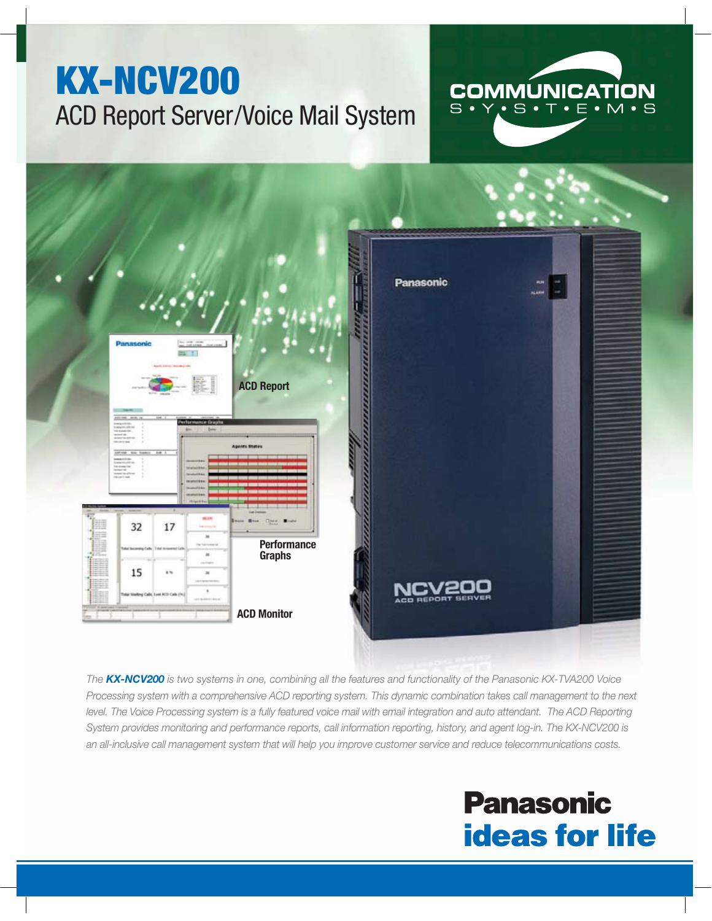

*The KX-NCV200 is two systems in one, combining all the features and functionality of the Panasonic KX-TVA200 Voice Processing system with a comprehensive ACD reporting system. This dynamic combination takes call management to the next level. The Voice Processing system is a fully featured voice mail with email integration and auto attendant. The ACD Reporting System provides monitoring and performance reports, call information reporting, history, and agent log-in. The KX-NCV200 is an all-inclusive call management system that will help you improve customer service and reduce telecommunications costs.* 

# **Panasonic ideas for life**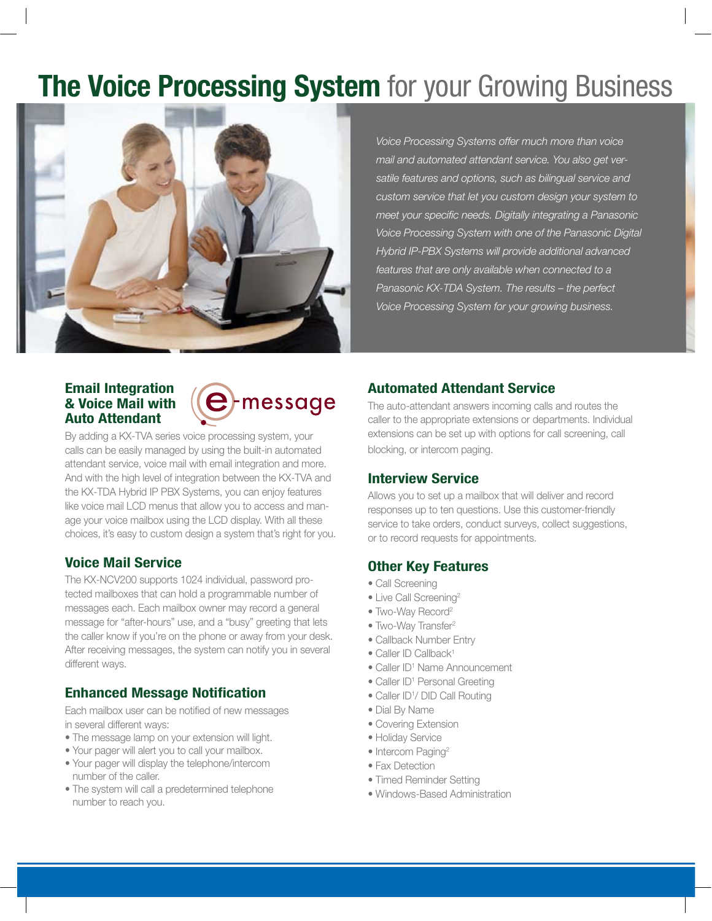# **The Voice Processing System** for your Growing Business



*Voice Processing Systems offer much more than voice mail and automated attendant service. You also get versatile features and options, such as bilingual service and custom service that let you custom design your system to meet your specific needs. Digitally integrating a Panasonic Voice Processing System with one of the Panasonic Digital Hybrid IP-PBX Systems will provide additional advanced features that are only available when connected to a Panasonic KX-TDA System. The results – the perfect Voice Processing System for your growing business.*

#### **Email Integration & Voice Mail with Auto Attendant**



By adding a KX-TVA series voice processing system, your calls can be easily managed by using the built-in automated attendant service, voice mail with email integration and more. And with the high level of integration between the KX-TVA and the KX-TDA Hybrid IP PBX Systems, you can enjoy features like voice mail LCD menus that allow you to access and manage your voice mailbox using the LCD display. With all these choices, it's easy to custom design a system that's right for you.

#### **Voice Mail Service**

The KX-NCV200 supports 1024 individual, password protected mailboxes that can hold a programmable number of messages each. Each mailbox owner may record a general message for "after-hours" use, and a "busy" greeting that lets the caller know if you're on the phone or away from your desk. After receiving messages, the system can notify you in several different ways.

# **Enhanced Message Notification**

Each mailbox user can be notified of new messages in several different ways:

- The message lamp on your extension will light.
- Your pager will alert you to call your mailbox.
- Your pager will display the telephone/intercom number of the caller.
- The system will call a predetermined telephone number to reach you.

# **Automated Attendant Service**

The auto-attendant answers incoming calls and routes the caller to the appropriate extensions or departments. Individual extensions can be set up with options for call screening, call blocking, or intercom paging.

# **Interview Service**

Allows you to set up a mailbox that will deliver and record responses up to ten questions. Use this customer-friendly service to take orders, conduct surveys, collect suggestions, or to record requests for appointments.

# **Other Key Features**

- Call Screening
- Live Call Screening<sup>2</sup>
- Two-Way Record<sup>2</sup>
- Two-Way Transfer<sup>2</sup>
- Callback Number Entry
- Caller ID Callback<sup>1</sup>
- Caller ID<sup>1</sup> Name Announcement
- Caller ID<sup>1</sup> Personal Greeting
- Caller ID<sup>1</sup>/ DID Call Routing
- Dial By Name
- Covering Extension
- Holiday Service
- Intercom Paging<sup>2</sup>
- Fax Detection
- Timed Reminder Setting
- Windows-Based Administration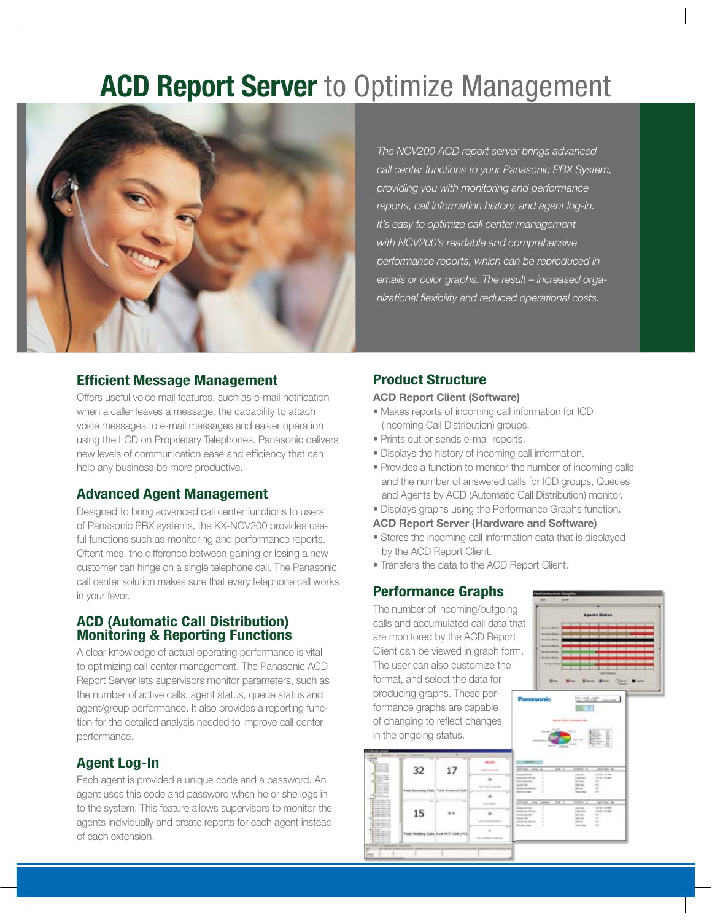# **ACD Report Server** to Optimize Management



*The NCV200 ACD report server brings advanced call center functions to your Panasonic PBX System, providing you with monitoring and performance reports, call information history, and agent log-in. It's easy to optimize call center management with NCV200's readable and comprehensive performance reports, which can be reproduced in emails or color graphs. The result – increased organizational fl exibility and reduced operational costs.*

#### **Efficient Message Management**

Offers useful voice mail features, such as e-mail notification when a caller leaves a message, the capability to attach voice messages to e-mail messages and easier operation using the LCD on Proprietary Telephones. Panasonic delivers new levels of communication ease and efficiency that can help any business be more productive.

#### **Advanced Agent Management**

Designed to bring advanced call center functions to users of Panasonic PBX systems, the KX-NCV200 provides useful functions such as monitoring and performance reports. Oftentimes, the difference between gaining or losing a new customer can hinge on a single telephone call. The Panasonic call center solution makes sure that every telephone call works in your favor.

#### **ACD (Automatic Call Distribution) Monitoring & Reporting Functions**

A clear knowledge of actual operating performance is vital to optimizing call center management. The Panasonic ACD Report Server lets supervisors monitor parameters, such as the number of active calls, agent status, queue status and agent/group performance. It also provides a reporting function for the detailed analysis needed to improve call center performance.

### **Agent Log-In**

Each agent is provided a unique code and a password. An agent uses this code and password when he or she logs in to the system. This feature allows supervisors to monitor the agents individually and create reports for each agent instead of each extension.

### **Product Structure**

#### **ACD Report Client (Software)**

- Makes reports of incoming call information for ICD (Incoming Call Distribution) groups.
- Prints out or sends e-mail reports.
- Displays the history of incoming call information.
- Provides a function to monitor the number of incoming calls and the number of answered calls for ICD groups, Queues and Agents by ACD (Automatic Call Distribution) monitor.
- Displays graphs using the Performance Graphs function.
- **ACD Report Server (Hardware and Software)**
- Stores the incoming call information data that is displayed by the ACD Report Client.
- Transfers the data to the ACD Report Client.

#### **Performance Graphs**

The number of incoming/outgoing calls and accumulated call data that are monitored by the ACD Report Client can be viewed in graph form. The user can also customize the format, and select the data for producing graphs. These performance graphs are capable of changing to reflect changes in the ongoing status.